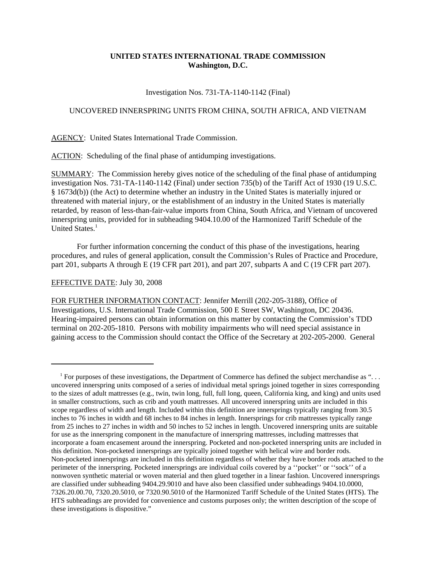# **UNITED STATES INTERNATIONAL TRADE COMMISSION Washington, D.C.**

#### Investigation Nos. 731-TA-1140-1142 (Final)

## UNCOVERED INNERSPRING UNITS FROM CHINA, SOUTH AFRICA, AND VIETNAM

AGENCY: United States International Trade Commission.

ACTION: Scheduling of the final phase of antidumping investigations.

SUMMARY: The Commission hereby gives notice of the scheduling of the final phase of antidumping investigation Nos. 731-TA-1140-1142 (Final) under section 735(b) of the Tariff Act of 1930 (19 U.S.C. § 1673d(b)) (the Act) to determine whether an industry in the United States is materially injured or threatened with material injury, or the establishment of an industry in the United States is materially retarded, by reason of less-than-fair-value imports from China, South Africa, and Vietnam of uncovered innerspring units, provided for in subheading 9404.10.00 of the Harmonized Tariff Schedule of the United States<sup>1</sup>

For further information concerning the conduct of this phase of the investigations, hearing procedures, and rules of general application, consult the Commission's Rules of Practice and Procedure, part 201, subparts A through E (19 CFR part 201), and part 207, subparts A and C (19 CFR part 207).

### EFFECTIVE DATE: July 30, 2008

FOR FURTHER INFORMATION CONTACT: Jennifer Merrill (202-205-3188), Office of Investigations, U.S. International Trade Commission, 500 E Street SW, Washington, DC 20436. Hearing-impaired persons can obtain information on this matter by contacting the Commission's TDD terminal on 202-205-1810. Persons with mobility impairments who will need special assistance in gaining access to the Commission should contact the Office of the Secretary at 202-205-2000. General

 $1$  For purposes of these investigations, the Department of Commerce has defined the subject merchandise as "... uncovered innerspring units composed of a series of individual metal springs joined together in sizes corresponding to the sizes of adult mattresses (e.g., twin, twin long, full, full long, queen, California king, and king) and units used in smaller constructions, such as crib and youth mattresses. All uncovered innerspring units are included in this scope regardless of width and length. Included within this definition are innersprings typically ranging from 30.5 inches to 76 inches in width and 68 inches to 84 inches in length. Innersprings for crib mattresses typically range from 25 inches to 27 inches in width and 50 inches to 52 inches in length. Uncovered innerspring units are suitable for use as the innerspring component in the manufacture of innerspring mattresses, including mattresses that incorporate a foam encasement around the innerspring. Pocketed and non-pocketed innerspring units are included in this definition. Non-pocketed innersprings are typically joined together with helical wire and border rods. Non-pocketed innersprings are included in this definition regardless of whether they have border rods attached to the perimeter of the innerspring. Pocketed innersprings are individual coils covered by a ''pocket'' or ''sock'' of a nonwoven synthetic material or woven material and then glued together in a linear fashion. Uncovered innersprings are classified under subheading 9404.29.9010 and have also been classified under subheadings 9404.10.0000, 7326.20.00.70, 7320.20.5010, or 7320.90.5010 of the Harmonized Tariff Schedule of the United States (HTS). The HTS subheadings are provided for convenience and customs purposes only; the written description of the scope of these investigations is dispositive."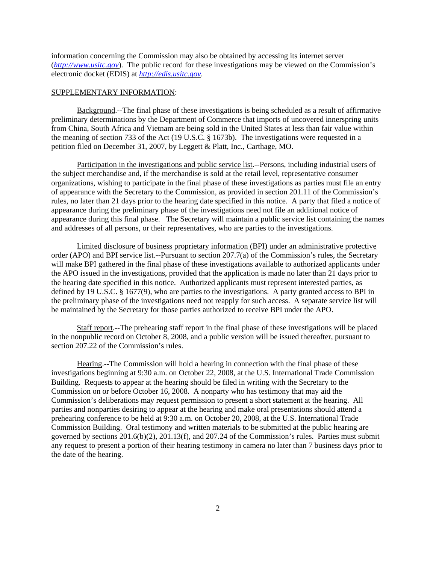information concerning the Commission may also be obtained by accessing its internet server (*http://www.usitc.gov*). The public record for these investigations may be viewed on the Commission's electronic docket (EDIS) at *http://edis.usitc.gov*.

#### SUPPLEMENTARY INFORMATION:

Background.--The final phase of these investigations is being scheduled as a result of affirmative preliminary determinations by the Department of Commerce that imports of uncovered innerspring units from China, South Africa and Vietnam are being sold in the United States at less than fair value within the meaning of section 733 of the Act (19 U.S.C. § 1673b). The investigations were requested in a petition filed on December 31, 2007, by Leggett & Platt, Inc., Carthage, MO.

Participation in the investigations and public service list.--Persons, including industrial users of the subject merchandise and, if the merchandise is sold at the retail level, representative consumer organizations, wishing to participate in the final phase of these investigations as parties must file an entry of appearance with the Secretary to the Commission, as provided in section 201.11 of the Commission's rules, no later than 21 days prior to the hearing date specified in this notice. A party that filed a notice of appearance during the preliminary phase of the investigations need not file an additional notice of appearance during this final phase. The Secretary will maintain a public service list containing the names and addresses of all persons, or their representatives, who are parties to the investigations.

Limited disclosure of business proprietary information (BPI) under an administrative protective order (APO) and BPI service list.--Pursuant to section 207.7(a) of the Commission's rules, the Secretary will make BPI gathered in the final phase of these investigations available to authorized applicants under the APO issued in the investigations, provided that the application is made no later than 21 days prior to the hearing date specified in this notice. Authorized applicants must represent interested parties, as defined by 19 U.S.C. § 1677(9), who are parties to the investigations. A party granted access to BPI in the preliminary phase of the investigations need not reapply for such access. A separate service list will be maintained by the Secretary for those parties authorized to receive BPI under the APO.

Staff report.--The prehearing staff report in the final phase of these investigations will be placed in the nonpublic record on October 8, 2008, and a public version will be issued thereafter, pursuant to section 207.22 of the Commission's rules.

Hearing.--The Commission will hold a hearing in connection with the final phase of these investigations beginning at 9:30 a.m. on October 22, 2008, at the U.S. International Trade Commission Building. Requests to appear at the hearing should be filed in writing with the Secretary to the Commission on or before October 16, 2008. A nonparty who has testimony that may aid the Commission's deliberations may request permission to present a short statement at the hearing. All parties and nonparties desiring to appear at the hearing and make oral presentations should attend a prehearing conference to be held at 9:30 a.m. on October 20, 2008, at the U.S. International Trade Commission Building. Oral testimony and written materials to be submitted at the public hearing are governed by sections 201.6(b)(2), 201.13(f), and 207.24 of the Commission's rules. Parties must submit any request to present a portion of their hearing testimony in camera no later than 7 business days prior to the date of the hearing.